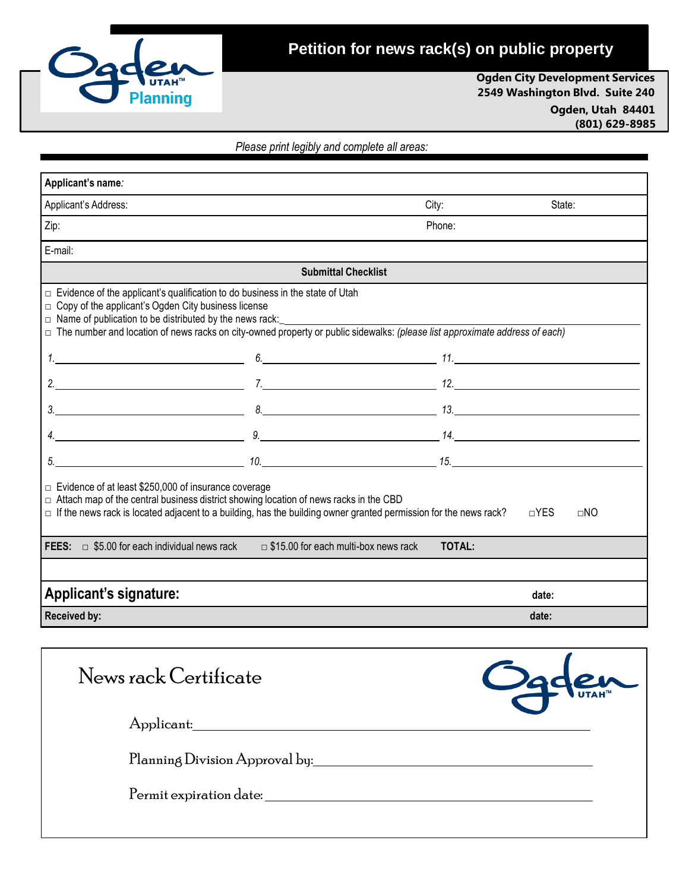

# **Petition for news rack(s) on public property**

**Ogden City Development Services 2549 Washington Blvd. Suite 240**

> **Ogden, Utah 84401 (801) 629-8985**

*Please print legibly and complete all areas:*

| Applicant's name:                                                                                                                                                                                                                                                                                                                                     |                                             |        |        |  |
|-------------------------------------------------------------------------------------------------------------------------------------------------------------------------------------------------------------------------------------------------------------------------------------------------------------------------------------------------------|---------------------------------------------|--------|--------|--|
| Applicant's Address:                                                                                                                                                                                                                                                                                                                                  |                                             | City:  | State: |  |
| Zip:                                                                                                                                                                                                                                                                                                                                                  |                                             | Phone: |        |  |
| E-mail:                                                                                                                                                                                                                                                                                                                                               |                                             |        |        |  |
|                                                                                                                                                                                                                                                                                                                                                       | <b>Submittal Checklist</b>                  |        |        |  |
| $\Box$ Evidence of the applicant's qualification to do business in the state of Utah<br>$\Box$ Copy of the applicant's Ogden City business license<br>$\Box$ Name of publication to be distributed by the news rack:<br>□ The number and location of news racks on city-owned property or public sidewalks: (please list approximate address of each) |                                             |        |        |  |
|                                                                                                                                                                                                                                                                                                                                                       |                                             |        |        |  |
|                                                                                                                                                                                                                                                                                                                                                       |                                             |        |        |  |
| $3.$ 13.                                                                                                                                                                                                                                                                                                                                              |                                             |        |        |  |
| $4.$ 14.                                                                                                                                                                                                                                                                                                                                              |                                             |        |        |  |
|                                                                                                                                                                                                                                                                                                                                                       |                                             |        |        |  |
| $\Box$ Evidence of at least \$250,000 of insurance coverage<br>□ Attach map of the central business district showing location of news racks in the CBD<br>$\Box$ If the news rack is located adjacent to a building, has the building owner granted permission for the news rack?<br>$\neg$ YES<br>$\sqcap$ NO                                        |                                             |        |        |  |
| FEES:<br>$\Box$ \$5.00 for each individual news rack                                                                                                                                                                                                                                                                                                  | $\Box$ \$15.00 for each multi-box news rack | TOTAL: |        |  |
|                                                                                                                                                                                                                                                                                                                                                       |                                             |        |        |  |
| <b>Applicant's signature:</b>                                                                                                                                                                                                                                                                                                                         |                                             |        | date:  |  |
| <b>Received by:</b>                                                                                                                                                                                                                                                                                                                                   |                                             |        | date:  |  |

| News rack Certificate          | Ogden |
|--------------------------------|-------|
| Applicant:                     |       |
| Planning Division Approval by: |       |
| Permit expiration date:        |       |